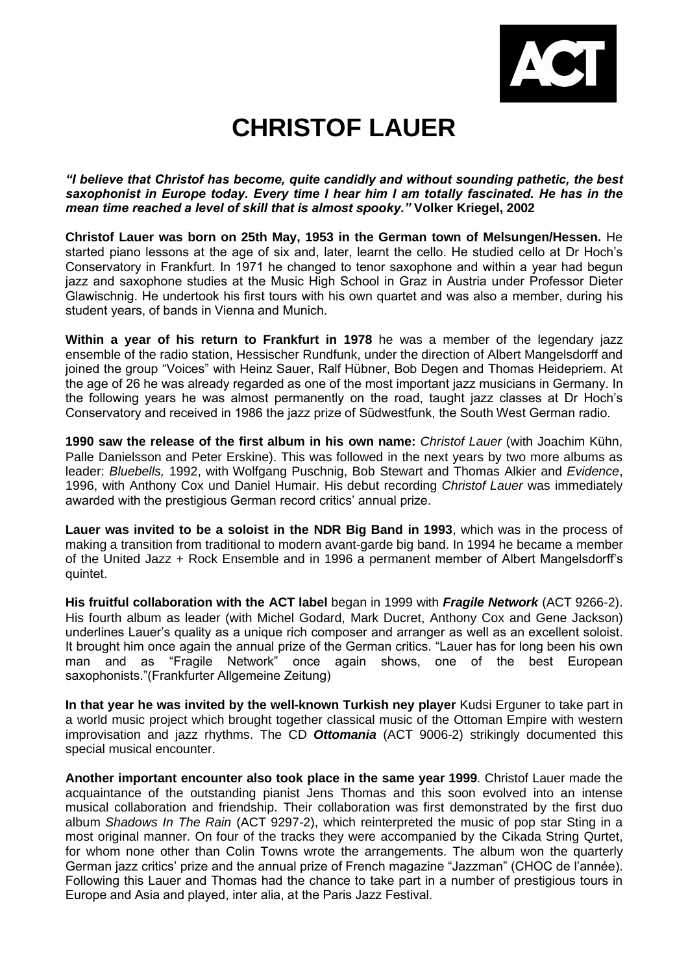

## **CHRISTOF LAUER**

*"I believe that Christof has become, quite candidly and without sounding pathetic, the best saxophonist in Europe today. Every time I hear him I am totally fascinated. He has in the mean time reached a level of skill that is almost spooky."* **Volker Kriegel, 2002**

**Christof Lauer was born on 25th May, 1953 in the German town of Melsungen/Hessen.** He started piano lessons at the age of six and, later, learnt the cello. He studied cello at Dr Hoch's Conservatory in Frankfurt. In 1971 he changed to tenor saxophone and within a year had begun jazz and saxophone studies at the Music High School in Graz in Austria under Professor Dieter Glawischnig. He undertook his first tours with his own quartet and was also a member, during his student years, of bands in Vienna and Munich.

**Within a year of his return to Frankfurt in 1978** he was a member of the legendary jazz ensemble of the radio station, Hessischer Rundfunk, under the direction of Albert Mangelsdorff and joined the group "Voices" with Heinz Sauer, Ralf Hübner, Bob Degen and Thomas Heidepriem. At the age of 26 he was already regarded as one of the most important jazz musicians in Germany. In the following years he was almost permanently on the road, taught jazz classes at Dr Hoch's Conservatory and received in 1986 the jazz prize of Südwestfunk, the South West German radio.

**1990 saw the release of the first album in his own name:** *Christof Lauer* (with Joachim Kühn, Palle Danielsson and Peter Erskine). This was followed in the next years by two more albums as leader: *Bluebells,* 1992, with Wolfgang Puschnig, Bob Stewart and Thomas Alkier and *Evidence*, 1996, with Anthony Cox und Daniel Humair. His debut recording *Christof Lauer* was immediately awarded with the prestigious German record critics' annual prize.

**Lauer was invited to be a soloist in the NDR Big Band in 1993**, which was in the process of making a transition from traditional to modern avant-garde big band. In 1994 he became a member of the United Jazz + Rock Ensemble and in 1996 a permanent member of Albert Mangelsdorff's quintet.

**His fruitful collaboration with the ACT label** began in 1999 with *Fragile Network* (ACT 9266-2). His fourth album as leader (with Michel Godard, Mark Ducret, Anthony Cox and Gene Jackson) underlines Lauer's quality as a unique rich composer and arranger as well as an excellent soloist. It brought him once again the annual prize of the German critics. "Lauer has for long been his own man and as "Fragile Network" once again shows, one of the best European saxophonists."(Frankfurter Allgemeine Zeitung)

**In that year he was invited by the well-known Turkish ney player** Kudsi Erguner to take part in a world music project which brought together classical music of the Ottoman Empire with western improvisation and jazz rhythms. The CD *Ottomania* (ACT 9006-2) strikingly documented this special musical encounter.

**Another important encounter also took place in the same year 1999**. Christof Lauer made the acquaintance of the outstanding pianist Jens Thomas and this soon evolved into an intense musical collaboration and friendship. Their collaboration was first demonstrated by the first duo album *Shadows In The Rain* (ACT 9297-2), which reinterpreted the music of pop star Sting in a most original manner. On four of the tracks they were accompanied by the Cikada String Qurtet, for whom none other than Colin Towns wrote the arrangements. The album won the quarterly German jazz critics' prize and the annual prize of French magazine "Jazzman" (CHOC de l'année). Following this Lauer and Thomas had the chance to take part in a number of prestigious tours in Europe and Asia and played, inter alia, at the Paris Jazz Festival.